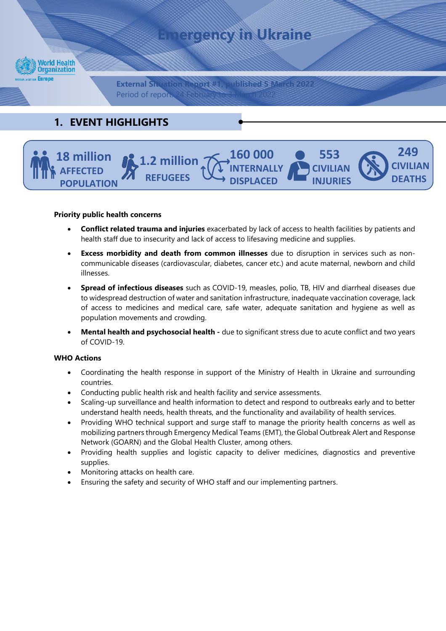



#### **Priority public health concerns**

- **Conflict related trauma and injuries** exacerbated by lack of access to health facilities by patients and health staff due to insecurity and lack of access to lifesaving medicine and supplies.
- **Excess morbidity and death from common illnesses** due to disruption in services such as noncommunicable diseases (cardiovascular, diabetes, cancer etc.) and acute maternal, newborn and child illnesses.
- **Spread of infectious diseases** such as COVID-19, measles, polio, TB, HIV and diarrheal diseases due to widespread destruction of water and sanitation infrastructure, inadequate vaccination coverage, lack of access to medicines and medical care, safe water, adequate sanitation and hygiene as well as population movements and crowding.
- **Mental health and psychosocial health -** due to significant stress due to acute conflict and two years of COVID-19.

#### **WHO Actions**

- Coordinating the health response in support of the Ministry of Health in Ukraine and surrounding countries.
- Conducting public health risk and health facility and service assessments.
- Scaling-up surveillance and health information to detect and respond to outbreaks early and to better understand health needs, health threats, and the functionality and availability of health services.
- Providing WHO technical support and surge staff to manage the priority health concerns as well as mobilizing partners through Emergency Medical Teams (EMT), the Global Outbreak Alert and Response Network (GOARN) and the Global Health Cluster, among others.
- Providing health supplies and logistic capacity to deliver medicines, diagnostics and preventive supplies.
- Monitoring attacks on health care.
- Ensuring the safety and security of WHO staff and our implementing partners.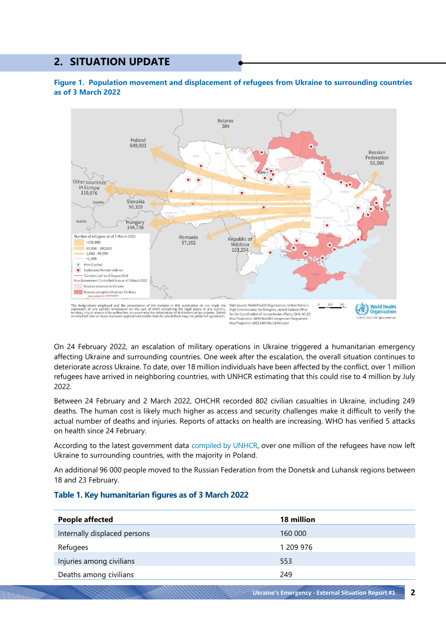# **2. SITUATION UPDATE**





On 24 February 2022, an escalation of military operations in Ukraine triggered a humanitarian emergency affecting Ukraine and surrounding countries. One week after the escalation, the overall situation continues to deteriorate across Ukraine. To date, over 18 million individuals have been affected by the conflict, over 1 million refugees have arrived in neighboring countries, with UNHCR estimating that this could rise to 4 million by July 2022.

Between 24 February and 2 March 2022, OHCHR recorded 802 civilian casualties in Ukraine, including 249 deaths. The human cost is likely much higher as access and security challenges make it difficult to verify the actual number of deaths and injuries. Reports of attacks on health are increasing. WHO has verified 5 attacks on health since 24 February.

According to the latest government data [compiled by UNHCR,](http://data2.unhcr.org/en/situations/ukraine) over one million of the refugees have now left Ukraine to surrounding countries, with the majority in Poland.

An additional 96 000 people moved to the Russian Federation from the Donetsk and Luhansk regions between 18 and 23 February.

| People affected              | 18 million |
|------------------------------|------------|
| Internally displaced persons | 160 000    |
| Refugees                     | 1 209 976  |
| Injuries among civilians     | 553        |
| Deaths among civilians       | 249        |

#### **Table 1. Key humanitarian figures as of 3 March 2022**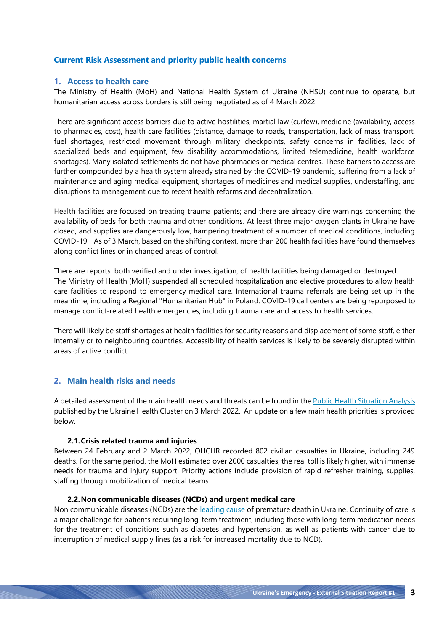## **Current Risk Assessment and priority public health concerns**

#### **1. Access to health care**

The Ministry of Health (MoH) and National Health System of Ukraine (NHSU) continue to operate, but humanitarian access across borders is still being negotiated as of 4 March 2022.

There are significant access barriers due to active hostilities, martial law (curfew), medicine (availability, access to pharmacies, cost), health care facilities (distance, damage to roads, transportation, lack of mass transport, fuel shortages, restricted movement through military checkpoints, safety concerns in facilities, lack of specialized beds and equipment, few disability accommodations, limited telemedicine, health workforce shortages). Many isolated settlements do not have pharmacies or medical centres. These barriers to access are further compounded by a health system already strained by the COVID-19 pandemic, suffering from a lack of maintenance and aging medical equipment, shortages of medicines and medical supplies, understaffing, and disruptions to management due to recent health reforms and decentralization.

Health facilities are focused on treating trauma patients; and there are already dire warnings concerning the availability of beds for both trauma and other conditions. At least three major oxygen plants in Ukraine have closed, and supplies are dangerously low, hampering treatment of a number of medical conditions, including COVID-19. As of 3 March, based on the shifting context, more than 200 health facilities have found themselves along conflict lines or in changed areas of control.

There are reports, both verified and under investigation, of health facilities being damaged or destroyed. The Ministry of Health (MoH) suspended all scheduled hospitalization and elective procedures to allow health care facilities to respond to emergency medical care. International trauma referrals are being set up in the meantime, including a Regional "Humanitarian Hub" in Poland. COVID-19 call centers are being repurposed to manage conflict-related health emergencies, including trauma care and access to health services.

There will likely be staff shortages at health facilities for security reasons and displacement of some staff, either internally or to neighbouring countries. Accessibility of health services is likely to be severely disrupted within areas of active conflict.

#### **2. Main health risks and needs**

A detailed assessment of the main health needs and threats can be found in the [Public Health Situation Analysis](https://www.humanitarianresponse.info/sites/www.humanitarianresponse.info/files/documents/files/ukraine-phsa-shortform-030322.pdf) published by the Ukraine Health Cluster on 3 March 2022. An update on a few main health priorities is provided below.

#### **2.1.Crisis related trauma and injuries**

Between 24 February and 2 March 2022, OHCHR recorded 802 civilian casualties in Ukraine, including 249 deaths. For the same period, the MoH estimated over 2000 casualties; the real toll is likely higher, with immense needs for trauma and injury support. Priority actions include provision of rapid refresher training, supplies, staffing through mobilization of medical teams

#### **2.2.Non communicable diseases (NCDs) and urgent medical care**

Non communicable diseases (NCDs) are the [leading cause](https://www.euro.who.int/__data/assets/pdf_file/0003/103827/E88202_UKRAINE.pdf) of premature death in Ukraine. Continuity of care is a major challenge for patients requiring long-term treatment, including those with long-term medication needs for the treatment of conditions such as diabetes and hypertension, as well as patients with cancer due to interruption of medical supply lines (as a risk for increased mortality due to NCD).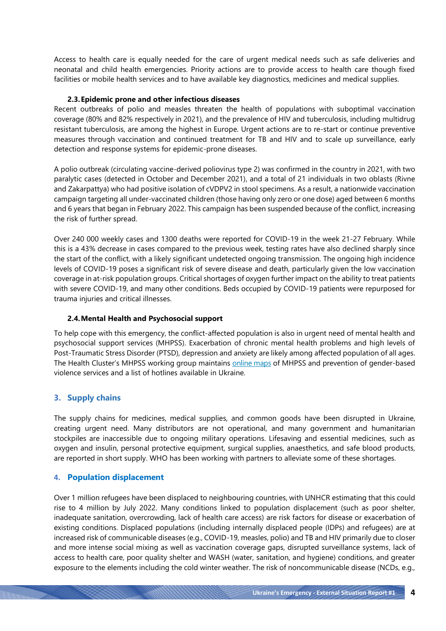Access to health care is equally needed for the care of urgent medical needs such as safe deliveries and neonatal and child health emergencies. Priority actions are to provide access to health care though fixed facilities or mobile health services and to have available key diagnostics, medicines and medical supplies.

#### **2.3.Epidemic prone and other infectious diseases**

Recent outbreaks of polio and measles threaten the health of populations with suboptimal vaccination coverage (80% and 82% respectively in 2021), and the prevalence of HIV and tuberculosis, including multidrug resistant tuberculosis, are among the highest in Europe. Urgent actions are to re-start or continue preventive measures through vaccination and continued treatment for TB and HIV and to scale up surveillance, early detection and response systems for epidemic-prone diseases.

A polio outbreak (circulating vaccine-derived poliovirus type 2) was confirmed in the country in 2021, with two paralytic cases (detected in October and December 2021), and a total of 21 individuals in two oblasts (Rivne and Zakarpattya) who had positive isolation of cVDPV2 in stool specimens. As a result, a nationwide vaccination campaign targeting all under-vaccinated children (those having only zero or one dose) aged between 6 months and 6 years that began in February 2022. This campaign has been suspended because of the conflict, increasing the risk of further spread.

Over 240 000 weekly cases and 1300 deaths were reported for COVID-19 in the week 21-27 February. While this is a 43% decrease in cases compared to the previous week, testing rates have also declined sharply since the start of the conflict, with a likely significant undetected ongoing transmission. The ongoing high incidence levels of COVID-19 poses a significant risk of severe disease and death, particularly given the low vaccination coverage in at-risk population groups. Critical shortages of oxygen further impact on the ability to treat patients with severe COVID-19, and many other conditions. Beds occupied by COVID-19 patients were repurposed for trauma injuries and critical illnesses.

#### **2.4.Mental Health and Psychosocial support**

To help cope with this emergency, the conflict-affected population is also in urgent need of mental health and psychosocial support services (MHPSS). Exacerbation of chronic mental health problems and high levels of Post-Traumatic Stress Disorder (PTSD), depression and anxiety are likely among affected population of all ages. The Health Cluster's MHPSS working group maintains **online maps** of MHPSS and prevention of gender-based violence services and a list of hotlines available in Ukraine.

# **3. Supply chains**

The supply chains for medicines, medical supplies, and common goods have been disrupted in Ukraine, creating urgent need. Many distributors are not operational, and many government and humanitarian stockpiles are inaccessible due to ongoing military operations. Lifesaving and essential medicines, such as oxygen and insulin, personal protective equipment, surgical supplies, anaesthetics, and safe blood products, are reported in short supply. WHO has been working with partners to alleviate some of these shortages.

#### **4. Population displacement**

Over 1 million refugees have been displaced to neighbouring countries, with UNHCR estimating that this could rise to 4 million by July 2022. Many conditions linked to population displacement (such as poor shelter, inadequate sanitation, overcrowding, lack of health care access) are risk factors for disease or exacerbation of existing conditions. Displaced populations (including internally displaced people (IDPs) and refugees) are at increased risk of communicable diseases (e.g., COVID-19, measles, polio) and TB and HIV primarily due to closer and more intense social mixing as well as vaccination coverage gaps, disrupted surveillance systems, lack of access to health care, poor quality shelter and WASH (water, sanitation, and hygiene) conditions, and greater exposure to the elements including the cold winter weather. The risk of noncommunicable disease (NCDs, e.g.,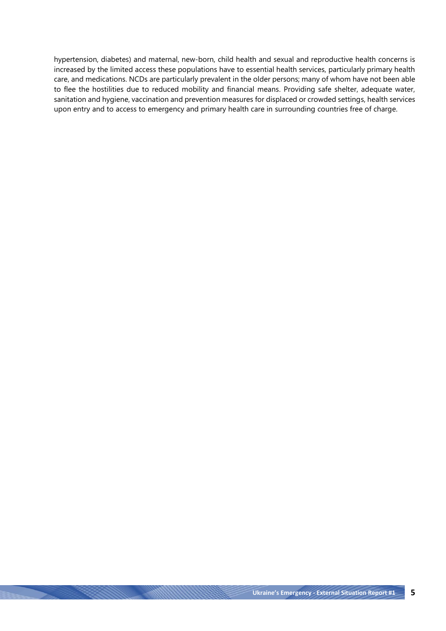hypertension, diabetes) and maternal, new-born, child health and sexual and reproductive health concerns is increased by the limited access these populations have to essential health services, particularly primary health care, and medications. NCDs are particularly prevalent in the older persons; many of whom have not been able to flee the hostilities due to reduced mobility and financial means. Providing safe shelter, adequate water, sanitation and hygiene, vaccination and prevention measures for displaced or crowded settings, health services upon entry and to access to emergency and primary health care in surrounding countries free of charge.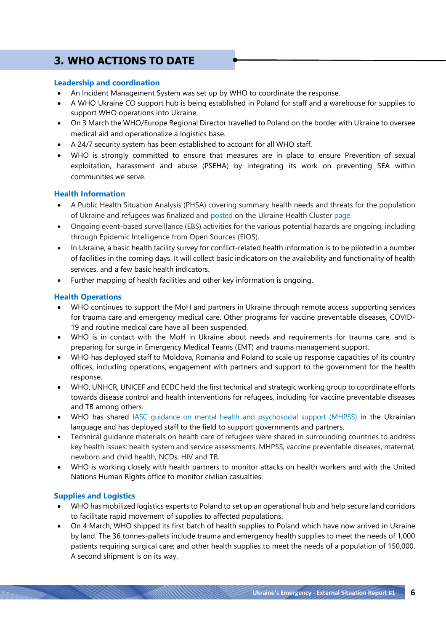# **3. WHO ACTIONS TO DATE**

## **Leadership and coordination**

- An Incident Management System was set up by WHO to coordinate the response.
- A WHO Ukraine CO support hub is being established in Poland for staff and a warehouse for supplies to support WHO operations into Ukraine.
- On 3 March the WHO/Europe Regional Director travelled to Poland on the border with Ukraine to oversee medical aid and operationalize a logistics base.
- A 24/7 security system has been established to account for all WHO staff.
- WHO is strongly committed to ensure that measures are in place to ensure Prevention of sexual exploitation, harassment and abuse (PSEHA) by integrating its work on preventing SEA within communities we serve.

## **Health Information**

- A Public Health Situation Analysis (PHSA) covering summary health needs and threats for the population of Ukraine and refugees was finalized and [posted](https://www.humanitarianresponse.info/en/operations/ukraine/document/ukraine-public-health-situation-analysis-phsa-ukraine-03032022-eng) on the Ukraine Health Cluster [page.](https://healthcluster.who.int/countries-and-regions/ukraine)
- Ongoing event-based surveillance (EBS) activities for the various potential hazards are ongoing, including through Epidemic Intelligence from Open Sources (EIOS).
- In Ukraine, a basic health facility survey for conflict-related health information is to be piloted in a number of facilities in the coming days. It will collect basic indicators on the availability and functionality of health services, and a few basic health indicators.
- Further mapping of health facilities and other key information is ongoing.

# **Health Operations**

- WHO continues to support the MoH and partners in Ukraine through remote access supporting services for trauma care and emergency medical care. Other programs for vaccine preventable diseases, COVID-19 and routine medical care have all been suspended.
- WHO is in contact with the MoH in Ukraine about needs and requirements for trauma care, and is preparing for surge in Emergency Medical Teams (EMT) and trauma management support.
- WHO has deployed staff to Moldova, Romania and Poland to scale up response capacities of its country offices, including operations, engagement with partners and support to the government for the health response.
- WHO, UNHCR, UNICEF and ECDC held the first technical and strategic working group to coordinate efforts towards disease control and health interventions for refugees, including for vaccine preventable diseases and TB among others.
- WHO has shared [IASC guidance on mental health and psychosocial support \(MHPSS\)](https://interagencystandingcommittee.org/iasc-reference-group-mental-health-and-psychosocial-support-emergency-settings/mental-health-and-psychosocial-support-humanitarian-response-ukraine-and-neighbouring-countries) in the Ukrainian language and has deployed staff to the field to support governments and partners.
- Technical guidance materials on health care of refugees were shared in surrounding countries to address key health issues: health system and service assessments, MHPSS, vaccine preventable diseases, maternal, newborn and child health, NCDs, HIV and TB.
- WHO is working closely with health partners to monitor attacks on health workers and with the United Nations Human Rights office to monitor civilian casualties.

# **Supplies and Logistics**

- WHO has mobilized logistics experts to Poland to set up an operational hub and help secure land corridors to facilitate rapid movement of supplies to affected populations.
- On 4 March, WHO shipped its first batch of health supplies to Poland which have now arrived in Ukraine by land. The 36 tonnes-pallets include trauma and emergency health supplies to meet the needs of 1,000 patients requiring surgical care; and other health supplies to meet the needs of a population of 150,000. A second shipment is on its way.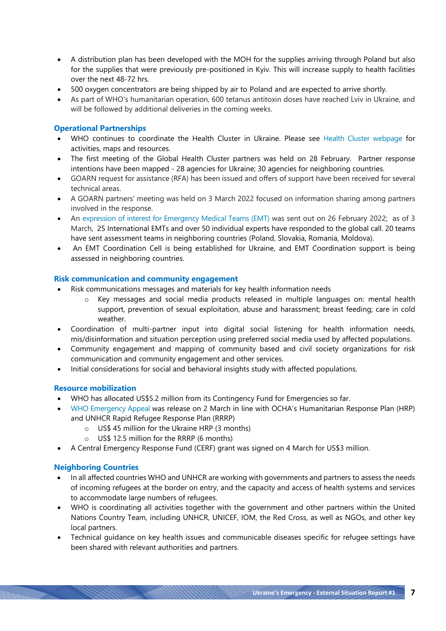- A distribution plan has been developed with the MOH for the supplies arriving through Poland but also for the supplies that were previously pre-positioned in Kyiv. This will increase supply to health facilities over the next 48-72 hrs.
- 500 oxygen concentrators are being shipped by air to Poland and are expected to arrive shortly.
- As part of WHO's humanitarian operation, 600 tetanus antitoxin doses have reached Lviv in Ukraine, and will be followed by additional deliveries in the coming weeks.

# **Operational Partnerships**

- WHO continues to coordinate the Health Cluster in Ukraine. Please see [Health Cluster webpage](https://www.humanitarianresponse.info/en/operations/ukraine/health) for activities, maps and resources.
- The first meeting of the Global Health Cluster partners was held on 28 February. Partner response intentions have been mapped - 28 agencies for Ukraine; 30 agencies for neighboring countries.
- GOARN request for assistance (RFA) has been issued and offers of support have been received for several technical areas.
- A GOARN partners' meeting was held on 3 March 2022 focused on information sharing among partners involved in the response.
- An [expression of interest for Emergency Medical Teams \(EMT\)](https://mailchi.mp/cc6a8bb453e6/ebola-drc-emt-request-for-assistanceebola-rdc-demande-dassistanceemt-6041274?e=35f6d14eda) was sent out on 26 February 2022; as of 3 March, 25 International EMTs and over 50 individual experts have responded to the global call. 20 teams have sent assessment teams in neighboring countries (Poland, Slovakia, Romania, Moldova).
- An EMT Coordination Cell is being established for Ukraine, and EMT Coordination support is being assessed in neighboring countries.

#### **Risk communication and community engagement**

- Risk communications messages and materials for key health information needs
	- o Key messages and social media products released in multiple languages on: mental health support, prevention of sexual exploitation, abuse and harassment; breast feeding; care in cold weather.
- Coordination of multi-partner input into digital social listening for health information needs, mis/disinformation and situation perception using preferred social media used by affected populations.
- Community engagement and mapping of community based and civil society organizations for risk communication and community engagement and other services.
- Initial considerations for social and behavioral insights study with affected populations.

#### **Resource mobilization**

- WHO has allocated US\$5.2 million from its Contingency Fund for Emergencies so far.
- [WHO Emergency Appeal](https://www.who.int/publications/m/item/emergency-appeal---ukraine-and-neighbouring-countries) was release on 2 March in line with OCHA's Humanitarian Response Plan (HRP) and UNHCR Rapid Refugee Response Plan (RRRP)
	- o US\$ 45 million for the Ukraine HRP (3 months)
	- o US\$ 12.5 million for the RRRP (6 months)
- A Central Emergency Response Fund (CERF) grant was signed on 4 March for US\$3 million.

# **Neighboring Countries**

- In all affected countries WHO and UNHCR are working with governments and partners to assess the needs of incoming refugees at the border on entry, and the capacity and access of health systems and services to accommodate large numbers of refugees.
- WHO is coordinating all activities together with the government and other partners within the United Nations Country Team, including UNHCR, UNICEF, IOM, the Red Cross, as well as NGOs, and other key local partners.
- Technical guidance on key health issues and communicable diseases specific for refugee settings have been shared with relevant authorities and partners.